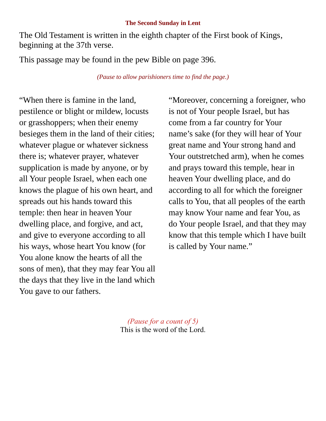## **The Second Sunday in Lent**

The Old Testament is written in the eighth chapter of the First book of Kings, beginning at the 37th verse.

This passage may be found in the pew Bible on page 396.

*(Pause to allow parishioners time to find the page.)*

"When there is famine in the land, pestilence or blight or mildew, locusts or grasshoppers; when their enemy besieges them in the land of their cities; whatever plague or whatever sickness there is; whatever prayer, whatever supplication is made by anyone, or by all Your people Israel, when each one knows the plague of his own heart, and spreads out his hands toward this temple: then hear in heaven Your dwelling place, and forgive, and act, and give to everyone according to all his ways, whose heart You know (for You alone know the hearts of all the sons of men), that they may fear You all the days that they live in the land which You gave to our fathers.

"Moreover, concerning a foreigner, who is not of Your people Israel, but has come from a far country for Your name's sake (for they will hear of Your great name and Your strong hand and Your outstretched arm), when he comes and prays toward this temple, hear in heaven Your dwelling place, and do according to all for which the foreigner calls to You, that all peoples of the earth may know Your name and fear You, as do Your people Israel, and that they may know that this temple which I have built is called by Your name."

*(Pause for a count of 5)* This is the word of the Lord.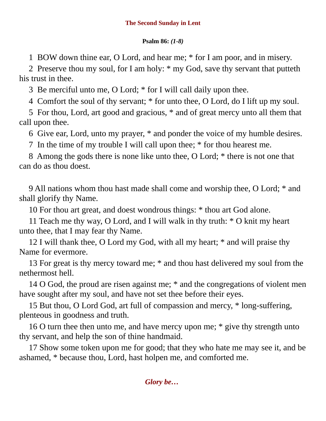## **Psalm 86:** *(1-8)*

1 BOW down thine ear, O Lord, and hear me; \* for I am poor, and in misery.

2 Preserve thou my soul, for I am holy: \* my God, save thy servant that putteth his trust in thee.

3 Be merciful unto me, O Lord; \* for I will call daily upon thee.

4 Comfort the soul of thy servant; \* for unto thee, O Lord, do I lift up my soul.

5 For thou, Lord, art good and gracious, \* and of great mercy unto all them that call upon thee.

6 Give ear, Lord, unto my prayer, \* and ponder the voice of my humble desires.

7 In the time of my trouble I will call upon thee; \* for thou hearest me.

8 Among the gods there is none like unto thee, O Lord; \* there is not one that can do as thou doest.

9 All nations whom thou hast made shall come and worship thee, O Lord; \* and shall glorify thy Name.

10 For thou art great, and doest wondrous things: \* thou art God alone.

11 Teach me thy way, O Lord, and I will walk in thy truth: \* O knit my heart unto thee, that I may fear thy Name.

12 I will thank thee, O Lord my God, with all my heart; \* and will praise thy Name for evermore.

13 For great is thy mercy toward me; \* and thou hast delivered my soul from the nethermost hell.

14 O God, the proud are risen against me; \* and the congregations of violent men have sought after my soul, and have not set thee before their eyes.

15 But thou, O Lord God, art full of compassion and mercy, \* long-suffering, plenteous in goodness and truth.

16 O turn thee then unto me, and have mercy upon me; \* give thy strength unto thy servant, and help the son of thine handmaid.

17 Show some token upon me for good; that they who hate me may see it, and be ashamed, \* because thou, Lord, hast holpen me, and comforted me.